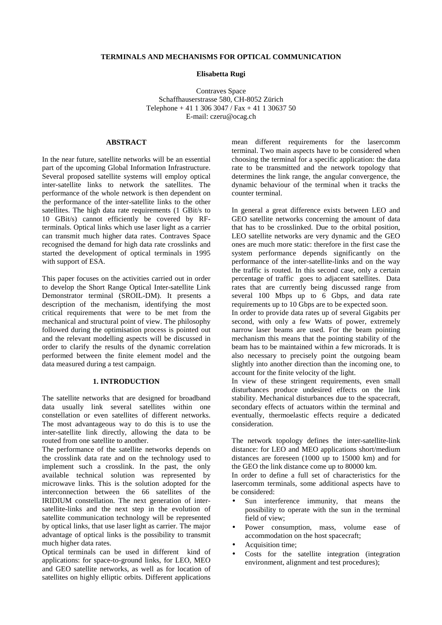#### **TERMINALS AND MECHANISMS FOR OPTICAL COMMUNICATION**

**Elisabetta Rugi**

Contraves Space Schaffhauserstrasse 580, CH-8052 Zürich Telephone + 41 1 306 3047 / Fax + 41 1 30637 50 E-mail: czeru@ocag.ch

# **ABSTRACT**

In the near future, satellite networks will be an essential part of the upcoming Global Information Infrastructure. Several proposed satellite systems will employ optical inter-satellite links to network the satellites. The performance of the whole network is then dependent on the performance of the inter-satellite links to the other satellites. The high data rate requirements (1 GBit/s to 10 GBit/s) cannot efficiently be covered by RFterminals. Optical links which use laser light as a carrier can transmit much higher data rates. Contraves Space recognised the demand for high data rate crosslinks and started the development of optical terminals in 1995 with support of ESA.

This paper focuses on the activities carried out in order to develop the Short Range Optical Inter-satellite Link Demonstrator terminal (SROIL-DM). It presents a description of the mechanism, identifying the most critical requirements that were to be met from the mechanical and structural point of view. The philosophy followed during the optimisation process is pointed out and the relevant modelling aspects will be discussed in order to clarify the results of the dynamic correlation performed between the finite element model and the data measured during a test campaign.

#### **1. INTRODUCTION**

The satellite networks that are designed for broadband data usually link several satellites within one constellation or even satellites of different networks. The most advantageous way to do this is to use the inter-satellite link directly, allowing the data to be routed from one satellite to another.

The performance of the satellite networks depends on the crosslink data rate and on the technology used to implement such a crosslink. In the past, the only available technical solution was represented by microwave links. This is the solution adopted for the interconnection between the 66 satellites of the IRIDIUM constellation. The next generation of intersatellite-links and the next step in the evolution of satellite communication technology will be represented by optical links, that use laser light as carrier. The major advantage of optical links is the possibility to transmit much higher data rates.

Optical terminals can be used in different kind of applications: for space-to-ground links, for LEO, MEO and GEO satellite networks, as well as for location of satellites on highly elliptic orbits. Different applications mean different requirements for the lasercomm terminal. Two main aspects have to be considered when choosing the terminal for a specific application: the data rate to be transmitted and the network topology that determines the link range, the angular convergence, the dynamic behaviour of the terminal when it tracks the counter terminal.

In general a great difference exists between LEO and GEO satellite networks concerning the amount of data that has to be crosslinked. Due to the orbital position, LEO satellite networks are very dynamic and the GEO ones are much more static: therefore in the first case the system performance depends significantly on the performance of the inter-satellite-links and on the way the traffic is routed. In this second case, only a certain percentage of traffic goes to adjacent satellites. Data rates that are currently being discussed range from several 100 Mbps up to 6 Gbps, and data rate requirements up to 10 Gbps are to be expected soon. In order to provide data rates up of several Gigabits per

second, with only a few Watts of power, extremely narrow laser beams are used. For the beam pointing mechanism this means that the pointing stability of the beam has to be maintained within a few microrads. It is also necessary to precisely point the outgoing beam slightly into another direction than the incoming one, to account for the finite velocity of the light.

In view of these stringent requirements, even small disturbances produce undesired effects on the link stability. Mechanical disturbances due to the spacecraft, secondary effects of actuators within the terminal and eventually, thermoelastic effects require a dedicated consideration.

The network topology defines the inter-satellite-link distance: for LEO and MEO applications short/medium distances are foreseen (1000 up to 15000 km) and for the GEO the link distance come up to 80000 km.

In order to define a full set of characteristics for the lasercomm terminals, some additional aspects have to be considered:

- Sun interference immunity, that means the possibility to operate with the sun in the terminal field of view;
- Power consumption, mass, volume ease of accommodation on the host spacecraft;
- Acquisition time;
- Costs for the satellite integration (integration environment, alignment and test procedures);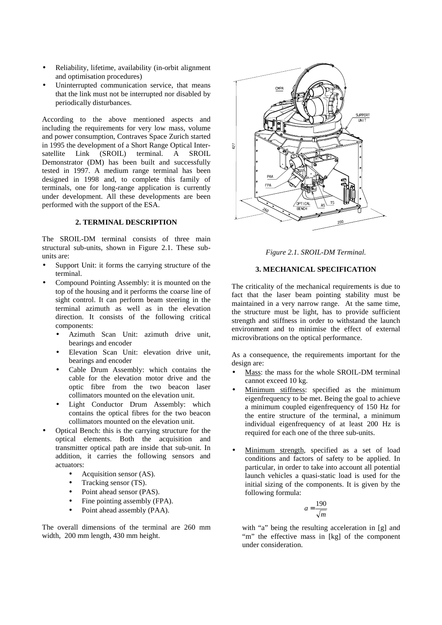- Reliability, lifetime, availability (in-orbit alignment and optimisation procedures)
- Uninterrupted communication service, that means that the link must not be interrupted nor disabled by periodically disturbances.

According to the above mentioned aspects and including the requirements for very low mass, volume and power consumption, Contraves Space Zurich started in 1995 the development of a Short Range Optical Intersatellite Link (SROIL) terminal. A SROIL Demonstrator (DM) has been built and successfully tested in 1997. A medium range terminal has been designed in 1998 and, to complete this family of terminals, one for long-range application is currently under development. All these developments are been performed with the support of the ESA.

### **2. TERMINAL DESCRIPTION**

The SROIL-DM terminal consists of three main structural sub-units, shown in Figure 2.1. These subunits are:

- Support Unit: it forms the carrying structure of the terminal.
- Compound Pointing Assembly: it is mounted on the top of the housing and it performs the coarse line of sight control. It can perform beam steering in the terminal azimuth as well as in the elevation direction. It consists of the following critical components:
	- Azimuth Scan Unit: azimuth drive unit, bearings and encoder
	- Elevation Scan Unit: elevation drive unit, bearings and encoder
	- Cable Drum Assembly: which contains the cable for the elevation motor drive and the optic fibre from the two beacon laser collimators mounted on the elevation unit.
	- Light Conductor Drum Assembly: which contains the optical fibres for the two beacon collimators mounted on the elevation unit.
- Optical Bench: this is the carrying structure for the optical elements. Both the acquisition and transmitter optical path are inside that sub-unit. In addition, it carries the following sensors and actuators:
	- Acquisition sensor (AS).
	- Tracking sensor (TS).
	- Point ahead sensor (PAS).
	- Fine pointing assembly (FPA).
	- Point ahead assembly (PAA).

The overall dimensions of the terminal are 260 mm width, 200 mm length, 430 mm height.



*Figure 2.1. SROIL-DM Terminal.*

### **3. MECHANICAL SPECIFICATION**

The criticality of the mechanical requirements is due to fact that the laser beam pointing stability must be maintained in a very narrow range. At the same time, the structure must be light, has to provide sufficient strength and stiffness in order to withstand the launch environment and to minimise the effect of external microvibrations on the optical performance.

As a consequence, the requirements important for the design are:

- Mass: the mass for the whole SROIL-DM terminal cannot exceed 10 kg.
- Minimum stiffness: specified as the minimum eigenfrequency to be met. Being the goal to achieve a minimum coupled eigenfrequency of 150 Hz for the entire structure of the terminal, a minimum individual eigenfrequency of at least 200 Hz is required for each one of the three sub-units.
- Minimum strength, specified as a set of load conditions and factors of safety to be applied. In particular, in order to take into account all potential launch vehicles a quasi-static load is used for the initial sizing of the components. It is given by the following formula:

$$
a = \frac{190}{\sqrt{m}}
$$

with "a" being the resulting acceleration in [g] and "m" the effective mass in [kg] of the component under consideration.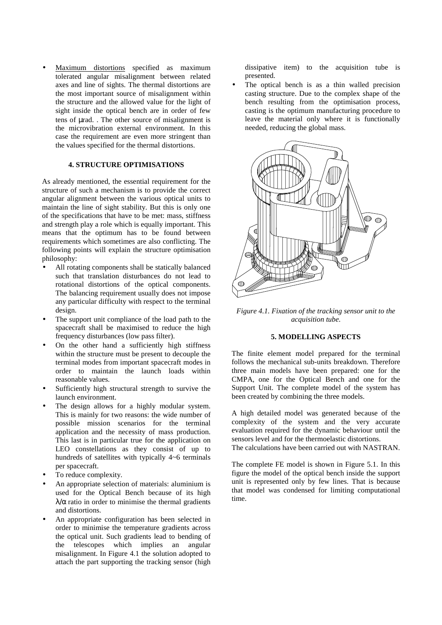Maximum distortions specified as maximum tolerated angular misalignment between related axes and line of sights. The thermal distortions are the most important source of misalignment within the structure and the allowed value for the light of sight inside the optical bench are in order of few tens of µrad. . The other source of misalignment is the microvibration external environment. In this case the requirement are even more stringent than the values specified for the thermal distortions.

#### **4. STRUCTURE OPTIMISATIONS**

As already mentioned, the essential requirement for the structure of such a mechanism is to provide the correct angular alignment between the various optical units to maintain the line of sight stability. But this is only one of the specifications that have to be met: mass, stiffness and strength play a role which is equally important. This means that the optimum has to be found between requirements which sometimes are also conflicting. The following points will explain the structure optimisation philosophy:

- All rotating components shall be statically balanced such that translation disturbances do not lead to rotational distortions of the optical components. The balancing requirement usually does not impose any particular difficulty with respect to the terminal design.
- The support unit compliance of the load path to the spacecraft shall be maximised to reduce the high frequency disturbances (low pass filter).
- On the other hand a sufficiently high stiffness within the structure must be present to decouple the terminal modes from important spacecraft modes in order to maintain the launch loads within reasonable values.
- Sufficiently high structural strength to survive the launch environment.
- The design allows for a highly modular system. This is mainly for two reasons: the wide number of possible mission scenarios for the terminal application and the necessity of mass production. This last is in particular true for the application on LEO constellations as they consist of up to hundreds of satellites with typically  $4~6$  terminals per spacecraft.
- To reduce complexity.
- An appropriate selection of materials: aluminium is used for the Optical Bench because of its high  $\lambda/\alpha$  ratio in order to minimise the thermal gradients and distortions.
- An appropriate configuration has been selected in order to minimise the temperature gradients across the optical unit. Such gradients lead to bending of the telescopes which implies an angular misalignment. In Figure 4.1 the solution adopted to attach the part supporting the tracking sensor (high

dissipative item) to the acquisition tube is presented.

The optical bench is as a thin walled precision casting structure. Due to the complex shape of the bench resulting from the optimisation process, casting is the optimum manufacturing procedure to leave the material only where it is functionally needed, reducing the global mass.



*Figure 4.1. Fixation of the tracking sensor unit to the acquisition tube.*

# **5. MODELLING ASPECTS**

The finite element model prepared for the terminal follows the mechanical sub-units breakdown. Therefore three main models have been prepared: one for the CMPA, one for the Optical Bench and one for the Support Unit. The complete model of the system has been created by combining the three models.

A high detailed model was generated because of the complexity of the system and the very accurate evaluation required for the dynamic behaviour until the sensors level and for the thermoelastic distortions.

The calculations have been carried out with NASTRAN.

The complete FE model is shown in Figure 5.1. In this figure the model of the optical bench inside the support unit is represented only by few lines. That is because that model was condensed for limiting computational time.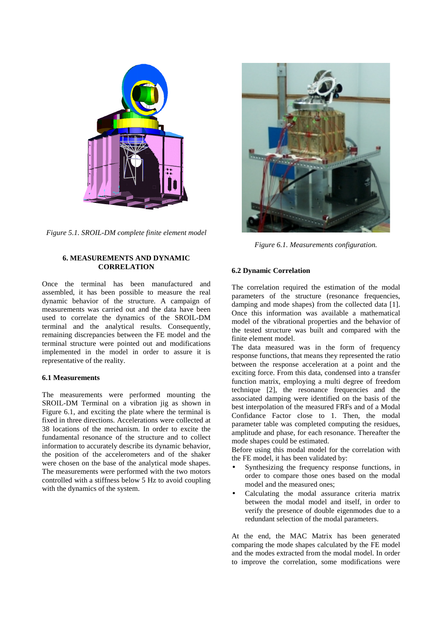

*Figure 5.1. SROIL-DM complete finite element model*

# **6. MEASUREMENTS AND DYNAMIC CORRELATION**

Once the terminal has been manufactured and assembled, it has been possible to measure the real dynamic behavior of the structure. A campaign of measurements was carried out and the data have been used to correlate the dynamics of the SROIL-DM terminal and the analytical results. Consequently, remaining discrepancies between the FE model and the terminal structure were pointed out and modifications implemented in the model in order to assure it is representative of the reality.

### **6.1 Measurements**

The measurements were performed mounting the SROIL-DM Terminal on a vibration jig as shown in Figure 6.1, and exciting the plate where the terminal is fixed in three directions. Accelerations were collected at 38 locations of the mechanism. In order to excite the fundamental resonance of the structure and to collect information to accurately describe its dynamic behavior, the position of the accelerometers and of the shaker were chosen on the base of the analytical mode shapes. The measurements were performed with the two motors controlled with a stiffness below 5 Hz to avoid coupling with the dynamics of the system.



*Figure 6.1. Measurements configuration.*

# **6.2 Dynamic Correlation**

The correlation required the estimation of the modal parameters of the structure (resonance frequencies, damping and mode shapes) from the collected data [1]. Once this information was available a mathematical model of the vibrational properties and the behavior of the tested structure was built and compared with the finite element model.

The data measured was in the form of frequency response functions, that means they represented the ratio between the response acceleration at a point and the exciting force. From this data, condensed into a transfer function matrix, employing a multi degree of freedom technique [2], the resonance frequencies and the associated damping were identified on the basis of the best interpolation of the measured FRFs and of a Modal Confidance Factor close to 1. Then, the modal parameter table was completed computing the residues, amplitude and phase, for each resonance. Thereafter the mode shapes could be estimated.

Before using this modal model for the correlation with the FE model, it has been validated by:

- Synthesizing the frequency response functions, in order to compare those ones based on the modal model and the measured ones;
- Calculating the modal assurance criteria matrix between the modal model and itself, in order to verify the presence of double eigenmodes due to a redundant selection of the modal parameters.

At the end, the MAC Matrix has been generated comparing the mode shapes calculated by the FE model and the modes extracted from the modal model. In order to improve the correlation, some modifications were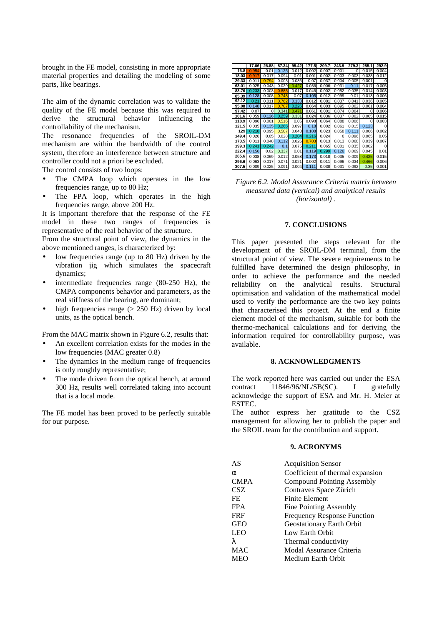brought in the FE model, consisting in more appropriate material properties and detailing the modeling of some parts, like bearings.

The aim of the dynamic correlation was to validate the quality of the FE model because this was required to derive the structural behavior influencing the controllability of the mechanism.

The resonance frequencies of the SROIL-DM mechanism are within the bandwidth of the control system, therefore an interference between structure and controller could not a priori be excluded.

The control consists of two loops:

- The CMPA loop which operates in the low frequencies range, up to 80 Hz;
- The FPA loop, which operates in the high frequencies range, above 200 Hz.

It is important therefore that the response of the FE model in these two ranges of frequencies is representative of the real behavior of the structure.

From the structural point of view, the dynamics in the above mentioned ranges, is characterized by:

- low frequencies range (up to 80 Hz) driven by the vibration jig which simulates the spacecraft dynamics;
- intermediate frequencies range (80-250 Hz), the CMPA components behavior and parameters, as the real stiffness of the bearing, are dominant;
- high frequencies range  $(> 250$  Hz) driven by local units, as the optical bench.

From the MAC matrix shown in Figure 6.2, results that:

- An excellent correlation exists for the modes in the low frequencies (MAC greater 0.8)
- The dynamics in the medium range of frequencies is only roughly representative;
- The mode driven from the optical bench, at around 300 Hz, results well correlated taking into account that is a local mode.

The FE model has been proved to be perfectly suitable for our purpose.



*Figure 6.2. Modal Assurance Criteria matrix between measured data (vertical) and analytical results (horizontal) .*

#### **7. CONCLUSIONS**

This paper presented the steps relevant for the development of the SROIL-DM terminal, from the structural point of view. The severe requirements to be fulfilled have determined the design philosophy, in order to achieve the performance and the needed reliability on the analytical results. Structural optimisation and validation of the mathematical model used to verify the performance are the two key points that characterised this project. At the end a finite element model of the mechanism, suitable for both the thermo-mechanical calculations and for deriving the information required for controllability purpose, was available.

# **8. ACKNOWLEDGMENTS**

The work reported here was carried out under the ESA contract 11846/96/NL/SB(SC). I gratefully acknowledge the support of ESA and Mr. H. Meier at ESTEC.

The author express her gratitude to the CSZ management for allowing her to publish the paper and the SROIL team for the contribution and support.

#### **9. ACRONYMS**

| AS       | <b>Acquisition Sensor</b>          |
|----------|------------------------------------|
| $\alpha$ | Coefficient of thermal expansion   |
| CMPA     | <b>Compound Pointing Assembly</b>  |
| CSZ      | Contraves Space Zürich             |
| FE       | <b>Finite Element</b>              |
| FPA      | Fine Pointing Assembly             |
| FRF      | <b>Frequency Response Function</b> |
| GEO      | Geostationary Earth Orbit          |
| LEO      | Low Earth Orbit                    |
| λ        | Thermal conductivity               |
| MAC      | Modal Assurance Criteria           |
| MEO      | Medium Earth Orbit                 |
|          |                                    |